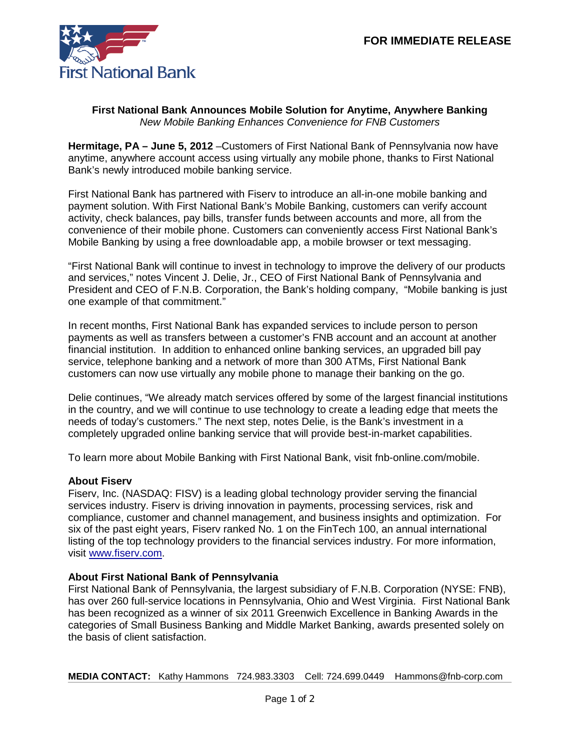

## **First National Bank Announces Mobile Solution for Anytime, Anywhere Banking** *New Mobile Banking Enhances Convenience for FNB Customers*

**Hermitage, PA – June 5, 2012** –Customers of First National Bank of Pennsylvania now have anytime, anywhere account access using virtually any mobile phone, thanks to First National Bank's newly introduced mobile banking service.

First National Bank has partnered with Fiserv to introduce an all-in-one mobile banking and payment solution. With First National Bank's Mobile Banking, customers can verify account activity, check balances, pay bills, transfer funds between accounts and more, all from the convenience of their mobile phone. Customers can conveniently access First National Bank's Mobile Banking by using a free downloadable app, a mobile browser or text messaging.

"First National Bank will continue to invest in technology to improve the delivery of our products and services," notes Vincent J. Delie, Jr., CEO of First National Bank of Pennsylvania and President and CEO of F.N.B. Corporation, the Bank's holding company, "Mobile banking is just one example of that commitment."

In recent months, First National Bank has expanded services to include person to person payments as well as transfers between a customer's FNB account and an account at another financial institution. In addition to enhanced online banking services, an upgraded bill pay service, telephone banking and a network of more than 300 ATMs, First National Bank customers can now use virtually any mobile phone to manage their banking on the go.

Delie continues, "We already match services offered by some of the largest financial institutions in the country, and we will continue to use technology to create a leading edge that meets the needs of today's customers." The next step, notes Delie, is the Bank's investment in a completely upgraded online banking service that will provide best-in-market capabilities.

To learn more about Mobile Banking with First National Bank, visit fnb-online.com/mobile.

## **About Fiserv**

Fiserv, Inc. (NASDAQ: FISV) is a leading global technology provider serving the financial services industry. Fiserv is driving innovation in payments, processing services, risk and compliance, customer and channel management, and business insights and optimization. For six of the past eight years, Fiserv ranked No. 1 on the FinTech 100, an annual international listing of the top technology providers to the financial services industry. For more information, visit [www.fiserv.com.](http://www.fiserv.com/)

## **About First National Bank of Pennsylvania**

First National Bank of Pennsylvania, the largest subsidiary of F.N.B. Corporation (NYSE: FNB), has over 260 full-service locations in Pennsylvania, Ohio and West Virginia. First National Bank has been recognized as a winner of six 2011 Greenwich Excellence in Banking Awards in the categories of Small Business Banking and Middle Market Banking, awards presented solely on the basis of client satisfaction.

**MEDIA CONTACT:** Kathy Hammons 724.983.3303 Cell: 724.699.0449 Hammons@fnb-corp.com